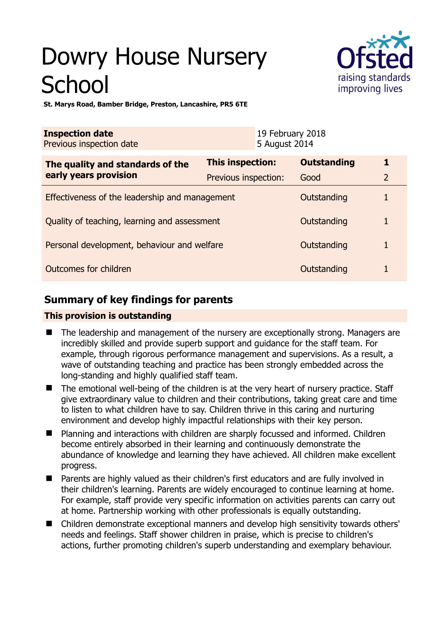# Dowry House Nursery **School**



**St. Marys Road, Bamber Bridge, Preston, Lancashire, PR5 6TE** 

| <b>Inspection date</b><br>Previous inspection date |                         | 19 February 2018<br>5 August 2014 |                    |                |
|----------------------------------------------------|-------------------------|-----------------------------------|--------------------|----------------|
| The quality and standards of the                   | <b>This inspection:</b> |                                   | <b>Outstanding</b> | 1              |
| early years provision                              | Previous inspection:    |                                   | Good               | $\overline{2}$ |
| Effectiveness of the leadership and management     |                         |                                   | Outstanding        |                |
| Quality of teaching, learning and assessment       |                         |                                   | Outstanding        | 1              |
| Personal development, behaviour and welfare        |                         |                                   | Outstanding        |                |
| Outcomes for children                              |                         |                                   | Outstanding        |                |

# **Summary of key findings for parents**

## **This provision is outstanding**

- The leadership and management of the nursery are exceptionally strong. Managers are incredibly skilled and provide superb support and guidance for the staff team. For example, through rigorous performance management and supervisions. As a result, a wave of outstanding teaching and practice has been strongly embedded across the long-standing and highly qualified staff team.
- The emotional well-being of the children is at the very heart of nursery practice. Staff give extraordinary value to children and their contributions, taking great care and time to listen to what children have to say. Children thrive in this caring and nurturing environment and develop highly impactful relationships with their key person.
- **Planning and interactions with children are sharply focussed and informed. Children** become entirely absorbed in their learning and continuously demonstrate the abundance of knowledge and learning they have achieved. All children make excellent progress.
- Parents are highly valued as their children's first educators and are fully involved in their children's learning. Parents are widely encouraged to continue learning at home. For example, staff provide very specific information on activities parents can carry out at home. Partnership working with other professionals is equally outstanding.
- Children demonstrate exceptional manners and develop high sensitivity towards others' needs and feelings. Staff shower children in praise, which is precise to children's actions, further promoting children's superb understanding and exemplary behaviour.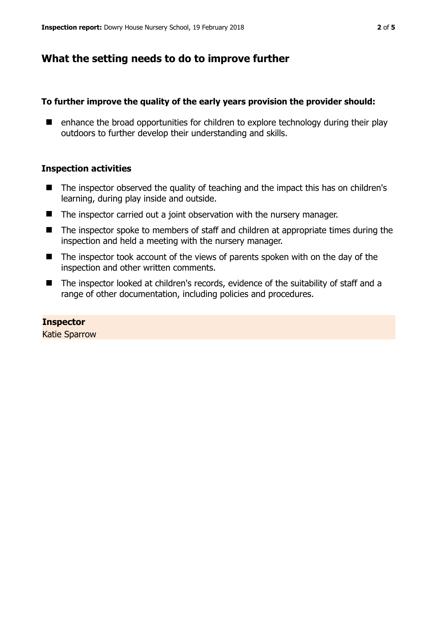# **What the setting needs to do to improve further**

## **To further improve the quality of the early years provision the provider should:**

 $\blacksquare$  enhance the broad opportunities for children to explore technology during their play outdoors to further develop their understanding and skills.

## **Inspection activities**

- The inspector observed the quality of teaching and the impact this has on children's learning, during play inside and outside.
- The inspector carried out a joint observation with the nursery manager.
- The inspector spoke to members of staff and children at appropriate times during the inspection and held a meeting with the nursery manager.
- The inspector took account of the views of parents spoken with on the day of the inspection and other written comments.
- The inspector looked at children's records, evidence of the suitability of staff and a range of other documentation, including policies and procedures.

### **Inspector**

Katie Sparrow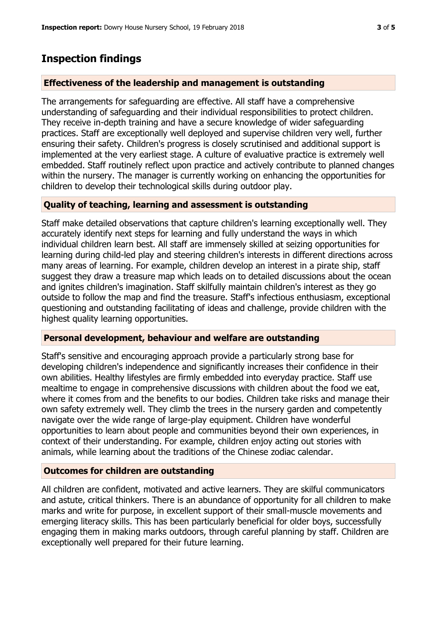## **Inspection findings**

## **Effectiveness of the leadership and management is outstanding**

The arrangements for safeguarding are effective. All staff have a comprehensive understanding of safeguarding and their individual responsibilities to protect children. They receive in-depth training and have a secure knowledge of wider safeguarding practices. Staff are exceptionally well deployed and supervise children very well, further ensuring their safety. Children's progress is closely scrutinised and additional support is implemented at the very earliest stage. A culture of evaluative practice is extremely well embedded. Staff routinely reflect upon practice and actively contribute to planned changes within the nursery. The manager is currently working on enhancing the opportunities for children to develop their technological skills during outdoor play.

## **Quality of teaching, learning and assessment is outstanding**

Staff make detailed observations that capture children's learning exceptionally well. They accurately identify next steps for learning and fully understand the ways in which individual children learn best. All staff are immensely skilled at seizing opportunities for learning during child-led play and steering children's interests in different directions across many areas of learning. For example, children develop an interest in a pirate ship, staff suggest they draw a treasure map which leads on to detailed discussions about the ocean and ignites children's imagination. Staff skilfully maintain children's interest as they go outside to follow the map and find the treasure. Staff's infectious enthusiasm, exceptional questioning and outstanding facilitating of ideas and challenge, provide children with the highest quality learning opportunities.

### **Personal development, behaviour and welfare are outstanding**

Staff's sensitive and encouraging approach provide a particularly strong base for developing children's independence and significantly increases their confidence in their own abilities. Healthy lifestyles are firmly embedded into everyday practice. Staff use mealtime to engage in comprehensive discussions with children about the food we eat, where it comes from and the benefits to our bodies. Children take risks and manage their own safety extremely well. They climb the trees in the nursery garden and competently navigate over the wide range of large-play equipment. Children have wonderful opportunities to learn about people and communities beyond their own experiences, in context of their understanding. For example, children enjoy acting out stories with animals, while learning about the traditions of the Chinese zodiac calendar.

### **Outcomes for children are outstanding**

All children are confident, motivated and active learners. They are skilful communicators and astute, critical thinkers. There is an abundance of opportunity for all children to make marks and write for purpose, in excellent support of their small-muscle movements and emerging literacy skills. This has been particularly beneficial for older boys, successfully engaging them in making marks outdoors, through careful planning by staff. Children are exceptionally well prepared for their future learning.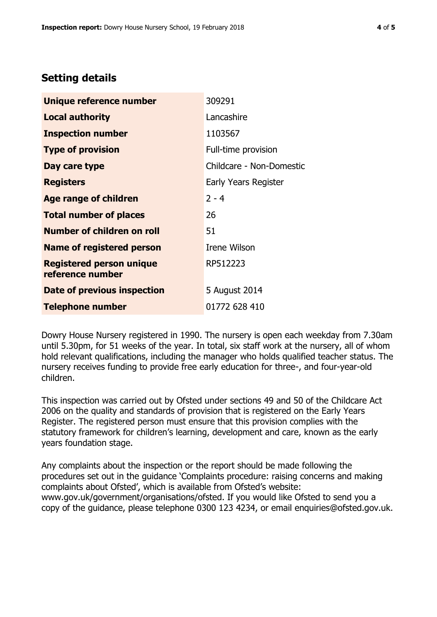# **Setting details**

| Unique reference number                             | 309291                      |  |
|-----------------------------------------------------|-----------------------------|--|
| Local authority                                     | Lancashire                  |  |
| <b>Inspection number</b>                            | 1103567                     |  |
| <b>Type of provision</b>                            | Full-time provision         |  |
| Day care type                                       | Childcare - Non-Domestic    |  |
| <b>Registers</b>                                    | <b>Early Years Register</b> |  |
| <b>Age range of children</b>                        | $2 - 4$                     |  |
| <b>Total number of places</b>                       | 26                          |  |
| <b>Number of children on roll</b>                   | 51                          |  |
| <b>Name of registered person</b>                    | Irene Wilson                |  |
| <b>Registered person unique</b><br>reference number | RP512223                    |  |
| Date of previous inspection                         | 5 August 2014               |  |
| <b>Telephone number</b>                             | 01772 628 410               |  |

Dowry House Nursery registered in 1990. The nursery is open each weekday from 7.30am until 5.30pm, for 51 weeks of the year. In total, six staff work at the nursery, all of whom hold relevant qualifications, including the manager who holds qualified teacher status. The nursery receives funding to provide free early education for three-, and four-year-old children.

This inspection was carried out by Ofsted under sections 49 and 50 of the Childcare Act 2006 on the quality and standards of provision that is registered on the Early Years Register. The registered person must ensure that this provision complies with the statutory framework for children's learning, development and care, known as the early years foundation stage.

Any complaints about the inspection or the report should be made following the procedures set out in the guidance 'Complaints procedure: raising concerns and making complaints about Ofsted', which is available from Ofsted's website: www.gov.uk/government/organisations/ofsted. If you would like Ofsted to send you a copy of the guidance, please telephone 0300 123 4234, or email enquiries@ofsted.gov.uk.